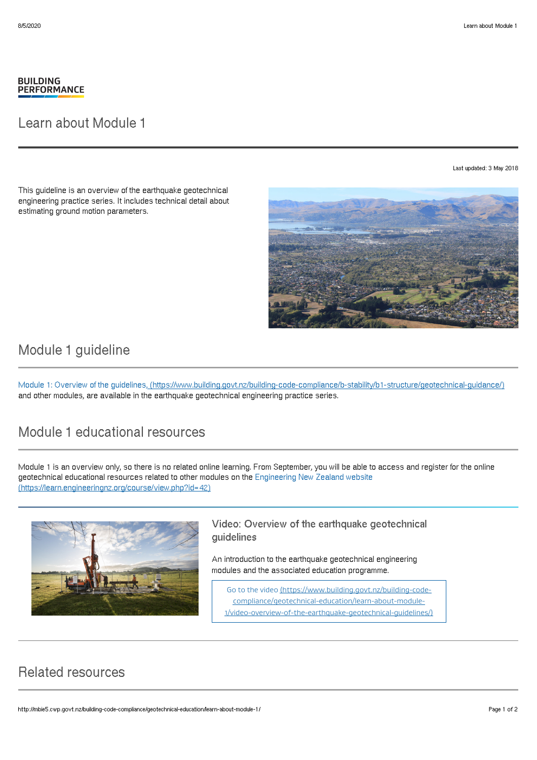#### **BUILDING PERFORMANCE**

### Learn about Module 1

Last updated: 3 May 2018

This guideline is an overview of the earthquake geotechnical engineering practice series. It includes technical detail about estimating ground motion parameters.



# Module 1 guideline

Module 1: Overview of the guidelines, [\(https://www.building.govt.nz/building-code-compliance/b-stability/b1-structure/geotechnical-guidance/\)](http://mbie5.cwp.govt.nz/building-code-compliance/b-stability/b1-structure/geotechnical-guidance/) and other modules, are available in the earthquake geotechnical engineering practice series.

# Module 1 educational resources

Module 1 is an overview only, so there is no related online learning. From September, you will be able to access and register for the online geotechnical educational resources related to other modules on the Engineering New Zealand website [\(https://learn.engineeringnz.org/course/view.php?id=42\)](https://learn.engineeringnz.org/course/view.php?id=42)



#### Video: Overview of the earthquake geotechnical guidelines

An introduction to the earthquake geotechnical engineering modules and the associated education programme.

Go to the video (https://www.building.govt.nz/building-codecompliance/geotechnical-education/learn-about-module-[1/video-overview-of-the-earthquake-geotechnical-guidelines/\)](http://mbie5.cwp.govt.nz/building-code-compliance/geotechnical-education/learn-about-module-1/video-overview-of-the-earthquake-geotechnical-guidelines/)

## Related resources